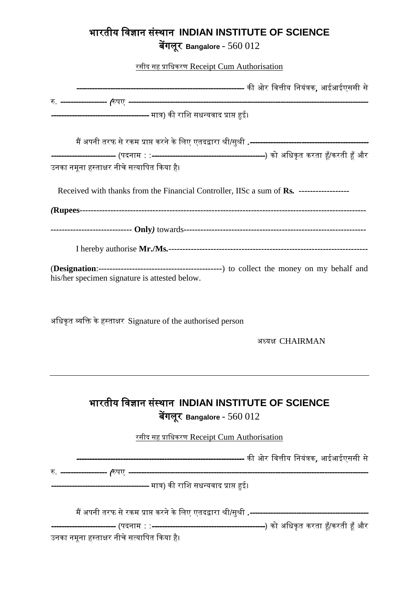## भारतीय विज्ञान संस्थान **INDIAN INSTITUTE OF SCIENCE**

बेंगलूर **Bangalore** - 560 012

रसीद सह प्राविकरण Receipt Cum Authorisation ----------------------------------------------------------------- की ओर वित्तीय वनयंत्रक, आईआईएससी से रु. ------------------ (रुपए --------------------------------------------------------------------------------------------- --------------------------- मात्र) की राशि सधन्यवाद प्राप्त हुई।<br>-मैं अपनी तरफ सेरकम प्राप्त करनेकेवलए एतदद्वारा श्री/सुश्री .---------------------------------------------- ------------------------- (पदनाम : :--------------------------------------------) को अविकृ त करता हूँ/करती हूँ और उनका नमूना हस्ताक्षर नीचे सत्यावपत ककया है। Received with thanks from the Financial Controller, IISc a sum of **Rs***. ------------------ (***Rupees***------------------------------------------------------------------------------------------------------ -----------------------------* **Only***)* towards*-----------------------------------------------------------------* I hereby authorise **Mr./Ms***.-----------------------------------------------------------------------* (**Designation**:*--------------------------------------------*) to collect the money on my behalf and his/her specimen signature is attested below. अधिकृत व्यक्ति के हस्ताक्षर Signature of the authorised person अध्यक्ष CHAIRMAN भारतीय विज्ञान संस्थान **INDIAN INSTITUTE OF SCIENCE** बेंगलूर **Bangalore** - 560 012 रसीद सह प्राविकरण Receipt Cum Authorisation <mark>------------------------</mark> की ओर वित्तीय नियंत्रक, आईआईएससी से रु. ------------------ (रुपए ---------------------------------------------------------------------------------------------

------------------- मात्र) की राशि सधन्यवाद प्राप्त हुई<mark>।</mark>

मैं अपनी तरफ सेरकम प्राप्त करनेकेवलए एतदद्वारा श्री/सुश्री .----------------------------------------------

------------------------- (पदनाम : :--------------------------------------------) को अविकृ त करता हूँ/करती हूँ और

उनका नमूना हस्ताक्षर नीचे सत्यावपत ककया है।